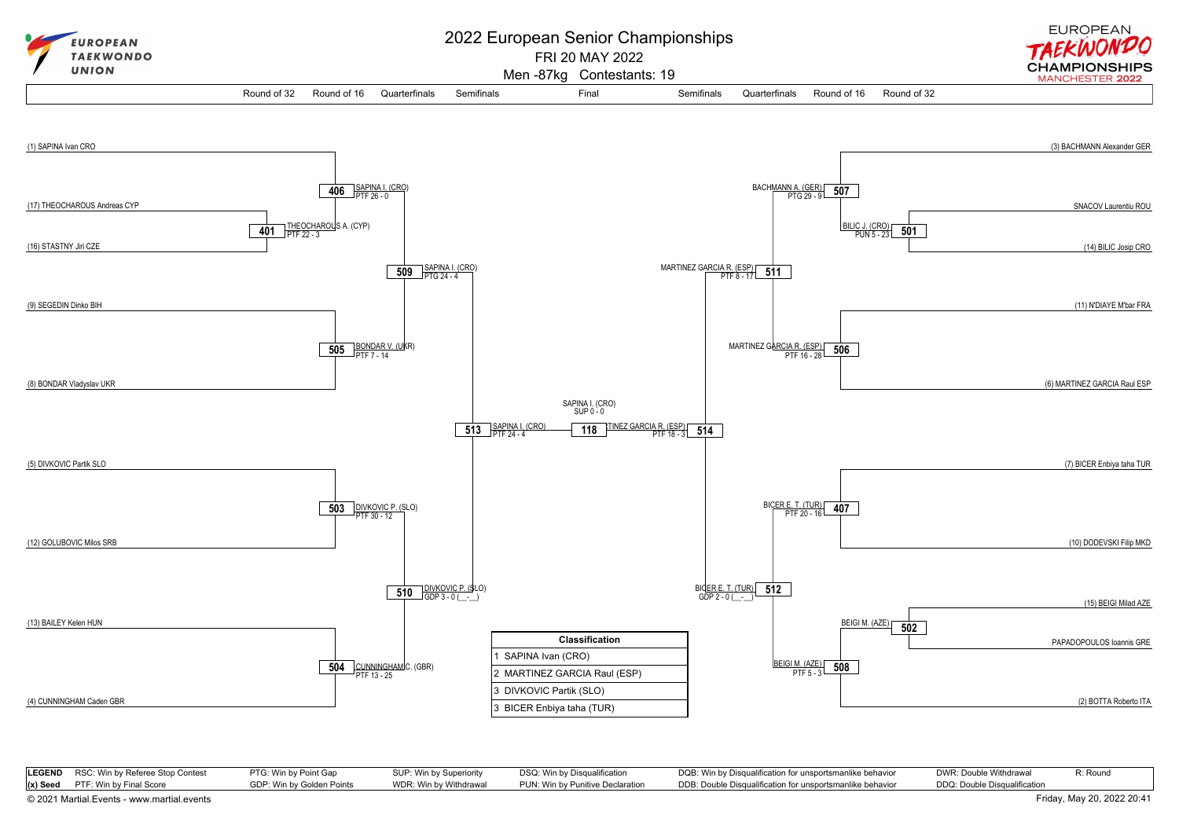

| <b>LEGEND</b> RSC: Win by Referee Stop Contest | PTG: Win by Point Gap     | SUP: Win by Superiority | DSQ: Win by Disqualification     | DQB: Win by Disqualification for unsportsmanlike behavior | DWR: Double Withdrawal       | R: Round |
|------------------------------------------------|---------------------------|-------------------------|----------------------------------|-----------------------------------------------------------|------------------------------|----------|
| $(x)$ Seed PTF: Win by Final Score             | GDP: Win by Golden Points | WDR: Win by Withdrawal  | PUN: Win by Punitive Declaration | DDB: Double Disqualification for unsportsmanlike behavior | DDQ: Double Disqualification |          |

[© 2021 Martial.Events - www.martial.events](https://www.martial.events) Friday, May 20, 2022 20:41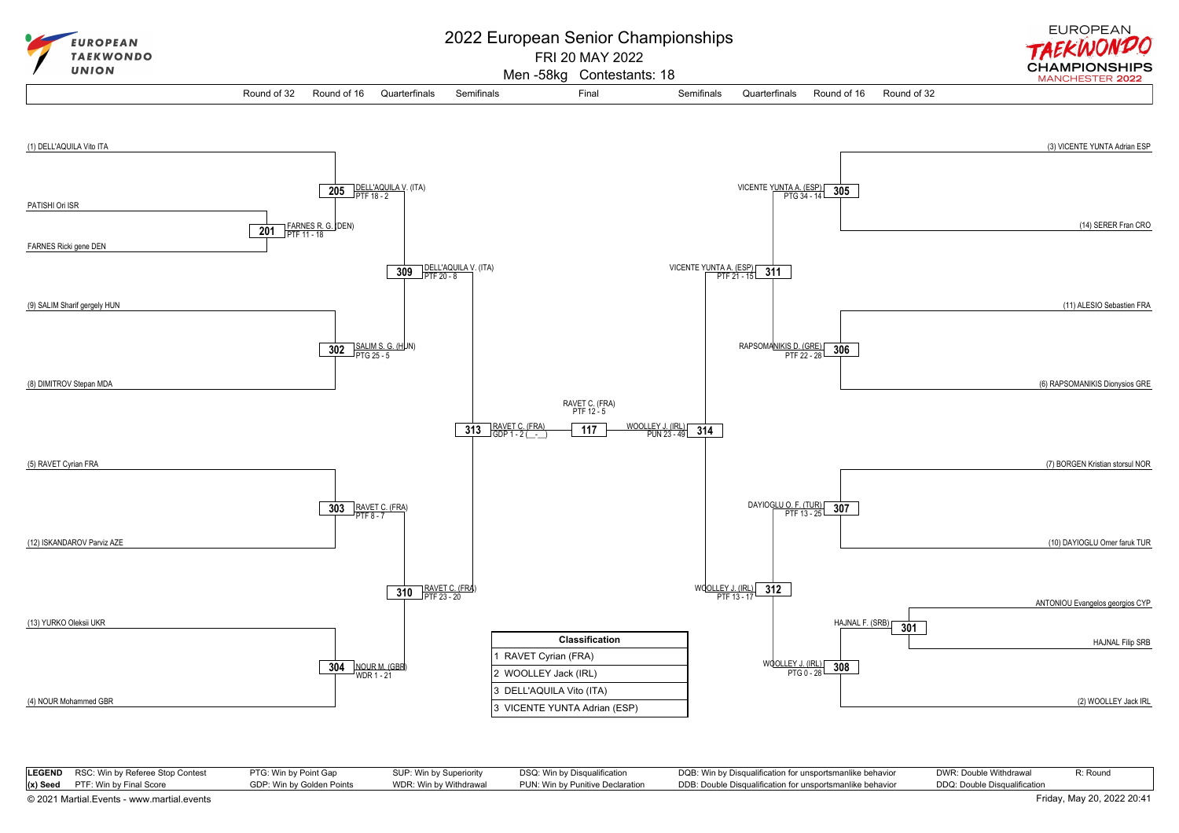

| <b>LEGEND</b> RSC: Win by Referee Stop Contest | PTG: Win by Point Gap     | SUP: Win by Superiority | DSQ: Win by Disqualification     | DQB: Win by Disqualification for unsportsmanlike behavior | DWR: Double Withdrawal       | R: Round |
|------------------------------------------------|---------------------------|-------------------------|----------------------------------|-----------------------------------------------------------|------------------------------|----------|
| $(x)$ Seed PTF: Win by Final Score             | GDP: Win by Golden Points | WDR: Win by Withdrawal  | PUN: Win by Punitive Declaration | DDB: Double Disqualification for unsportsmanlike behavior | DDQ: Double Disqualification |          |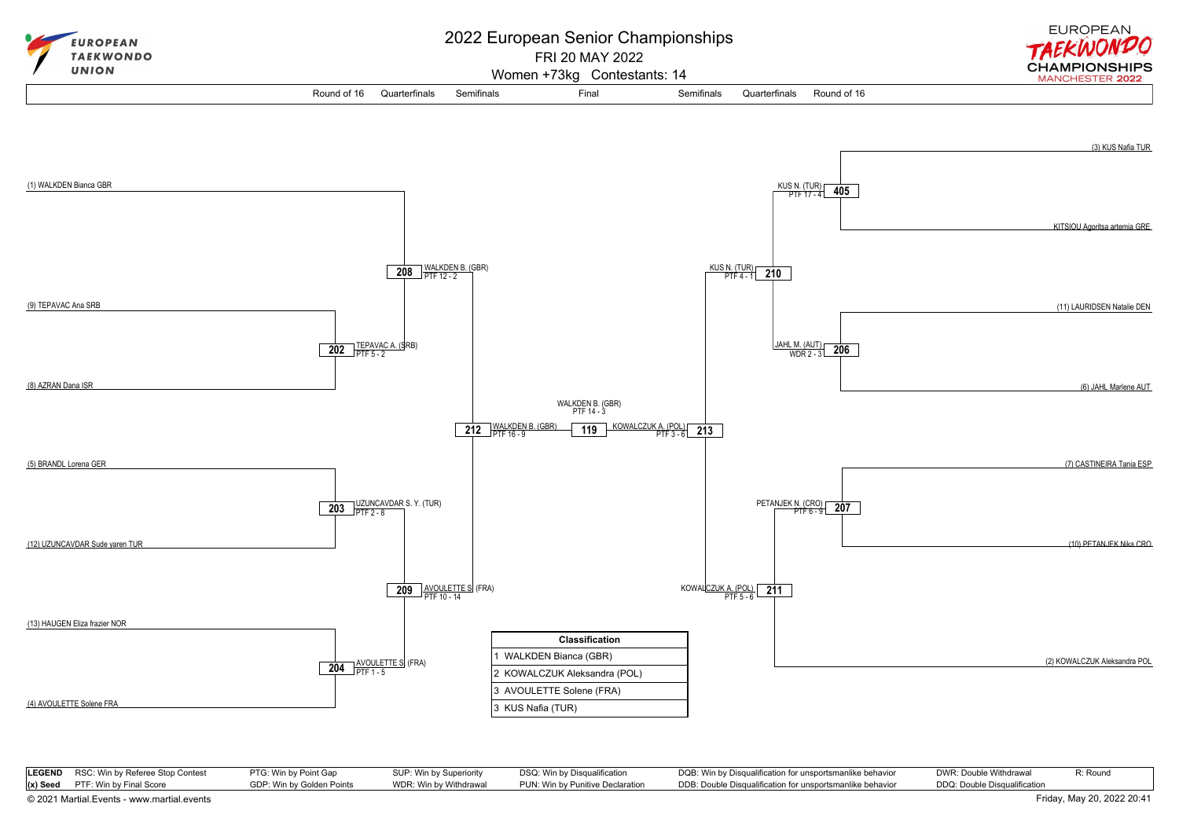

| <b>LEGEND</b> RSC: Win by Referee Stop Contest | PTG: Win by Point Gap     | SUP: Win by Superiority | DSQ: Win by Disqualification     | DQB: Win by Disqualification for unsportsmanlike behavior | DWR: Double Withdrawal       | R: Round |
|------------------------------------------------|---------------------------|-------------------------|----------------------------------|-----------------------------------------------------------|------------------------------|----------|
| $(x)$ Seed PTF: Win by Final Score             | GDP: Win by Golden Points | WDR: Win by Withdrawal  | PUN: Win by Punitive Declaration | DDB: Double Disqualification for unsportsmanlike behavior | DDQ: Double Disqualification |          |
| © 2021 Martial.Events - www.martial.events     |                           |                         |                                  |                                                           | Friday, May 20, 2022 20:41   |          |